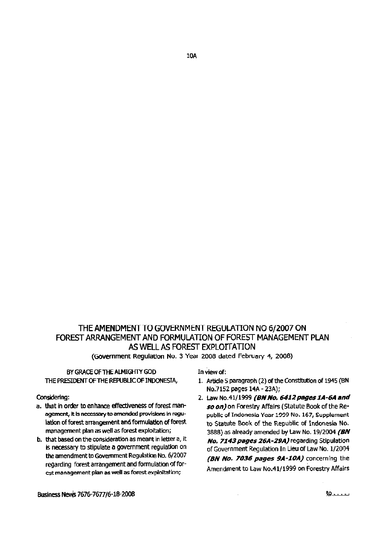# THE AMENDMENT TO GOVERNMENT REGULATION NO 6/2007 ON FOREST ARRANGEMENT AND FORMULATION OF FOREST MANAGEMENT PLAN AS WELL AS FOREST EXPLOTTATION

(Government Regulation No. 3 Year 2008 dated February 4, 2008)

# BY GRACE OF THE ALMIGHTY GOD THE PRESIDENT OF THE REPUBLIC OF INDONESIA,

#### Considering:

- a. that in order to enhance effectiveness of forest management, it is necessary to amended provisions in regulation of forest arrangement and formulation of forest management plan as well as forest exploitation;
- b. that based on the consideration as meant in letter a, it is necessary to stipulate a government regulation on the amendment to Government Regulation No. 6/2007 regarding forest arrangement and formulation of forest management plan as well as forest exploitation;

In view of:

- 1. Article 5 paragraph (2) of the Constitution of 1945 (BN No.7152 pages 14A - 23A);
- 2. Law No.41/1999 (BN No. 6412 pages 1A-6A and so on) on Forestry Affairs (Statute Book of the Republic of Indonesia Year 1999 No. 167, Supplement to Statute Book of the Republic of Indonesia No. 3888) as already amended by Law No. 19/2004 (BN No. 7143 pages 26A-29A) regarding Stipulation of Government Regulation In Lieu of Law No. 1/2004 (BN No. 7036 pages 9A-10A) concerning the Amendment to Law No.41/1999 on Forestry Affairs

Business News 7676-7677/6-18-2008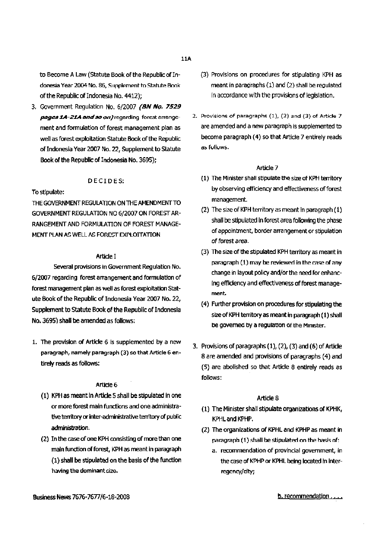to Become A Law (Statute Book of the Republic of Indonesia Year 2004 No. 86, Supplement to Statute Book of the Republic of Indonesia No. 4412);

3. Government Regulation No. 6/2007 (BN No. 7529 *pages 1A-21A and so on)* regarding forest arrangement and formulation of forest management plan as well as forest exploitation Statute Book of the Republic of Indonesia Year 2007 No. 22, Supplement to Statute Book of the Republic of Indonesia No. 3695);

### DECIDES:

#### To stipulate:

THE GOVERNMENT REGULATION ON THE AMENDMENT TO GOVERNMENT REGULATION NO 6/2007 ON FOREST AR-RANGEMENT AND FORMULATION OF FOREST MANAGE-MENT PLAN AS WELL AS FOREST EXPLOITATION

#### Article I

Several provisions in Government Regulation No. 6/2007 regarding forest arrangement and formulation of forest management plan as well as forest exploitation Statute Book of the Republic of Indonesia Year2007No. 22, Supplement to Statute Book of the Republic of Indonesia No. 3695) shall be amended as follows:

1. The provision of Article 6 is supplemented by a new paragraph, namely paragraph (3) so that Article 6 entirely reads as follows:

#### Article<sub>6</sub>

- (1) KPH as meant in Article 5 shall be stipulated in one or more forest main functions and one administrative territory or inter-administrative territory of public administration.
- (2) In the case of oneKPH consisting of more than one main function of forest, KPH as meant in paragraph (1) shall be stipulated on the basis of the function having the dominant size.
- (3) Provisions on procedures for stipulating KPH as meantin paragraphs (1) and (2) shall be regulated in accordance with the provisions of legislation.
- 2. Provisions of paragraphs (1), (2) and (3) of Article 7 are amended anda new paragraph is supplemented to become paragraph (4) so that Article 7 entirely reads as fulluws.

#### Article 7

- (1) The Minister shall stipulate the size of KPH territory by observing efficiency and effectiveness of forest management.
- (2) The size of KPH territory as meant in paragraph  $(1)$ shall be stipulated in forest area following the phase of appointment, border arrangement or stipulation of forest *area.*
- (3) The size of the stipulated KPH territory as meant in paragraph  $(1)$  may be reviewed in the case of ahy change in layout policy and/or the need for enhancing efficiency and effectiveness of forest management.
- (4) Further provision on procedures for stipulating the size of KPH territory as meant in paragraph (1) shall be governed by a regulation of the Minister.
- 3. Provisions of paragraphs  $(1)$ ,  $(2)$ ,  $(3)$  and  $(6)$  of Article 8 are amended and provisions of paragraphs (4) and (5) are abolished so that Article 8 entirely reads as follows:

- (1) The Minister shall stipulate organizations of KPHK, KPHLand KPHP.
- (2) The organizations of KPHL and KPHP as meant in paragraph  $(1)$  shall be stipulated on the basis of:
	- a. recommendation of provincial government, in the case of KPHP or KPHL being located in interregency/city;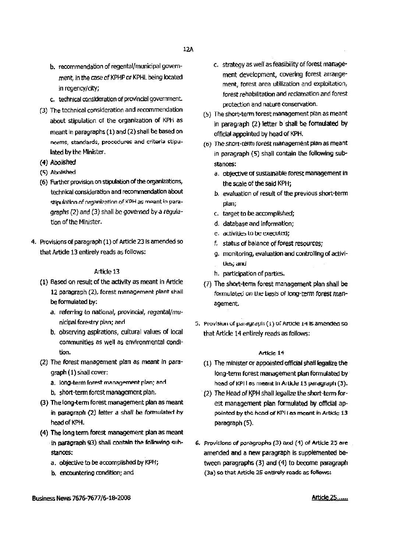- b. recommendation of regental/municipal government, in the case of KPHP or KPHL being located in regency/city;
- c. technical consideration of provincial government.
- (3) The technical consideration and recommendation about stipulation of the organization of KPH as meant in paragraphs (1) and (2) shall be based on norms, standards, procedures and criteria stipulated by the Minister.
- (4) Abolished
- (5) Abolished
- (6) Further provision on stipulation of the organizations, technical consideration and recommendation about stipulation of organization of KPH as meant in paragraphs (2) and (3) shall be governed by a regulation of the Minister.
- 4. Provisions of paragraph (1) of Article 23 is amended so that Article 13 entirely reads as follows:

- (1) Based on result of the activity as meant in Article 12 paragraph (2), forest management plant shall be formulated by:
	- a. referring to national, provincial, regental/municipal forestry plan; and
	- b. observing aspirations, cultural values of local communities as well as environmental condition.
- (2) The forest management plan as meant in paragraph (1) shall cover:
	- a. long-term forest management plan; and
	- b. short-term forest management plan.
- (3) The long-term forest management plan as meant in paragraph (2) letter a shall be formulated by head of KPH.
- (4) The long term forest management plan as meant in paragraph 93) shall contain the following substances:
	- a. objective to be accomplished by KPH;
	- b. encountering condition; and
- c. strategy as well as feasibility of forest management development, covering forest arrangement, forest area utilization and exploitation, forest rehabilitation and reclamation and forest protection and nature conservation.
- (5) The short-term forest management plan as meant in paragraph (2) letter b shall be formulated by official appointed by head of KPH,
- (6) The short-term forest management plan as meant in paragraph (5) shall contain the following substances:
	- a. objective of sustainable forest management in the scale of the said KPH;
	- b. evaluation of result of the previous short-term plan;
	- c. target to be accomplished;
	- d. database and information;
	- e. activities to be executed;
	- f. status of balance of forest resources;
	- g. monitoring, evaluation and controlling of activities; and
	- h. participation of parties.
- (7) The short-term forest management plan shall be formulated on the basis of long-term forest management.
- 5. Provision of paragraph (1) of Article 14 is amended so that Article 14 entirely reads as follows:

- (1) The minister or appointed official shall legalize the long-term forest management plan formulated by head of KPI I as meant in Article 13 paragraph (3).
- (2) The Head of KPH shall legalize the short-term forest management plan formulated by official appointed by the head of KPI I as meant in Article 13 paragraph (5).
- 6. Provisions of paragraphs (3) and (1) of Article 25 are amended and a new paragraph is supplemented between paragraphs (3) and (4) to become paragraph (3a) so that Article 25 entirely reads as follows: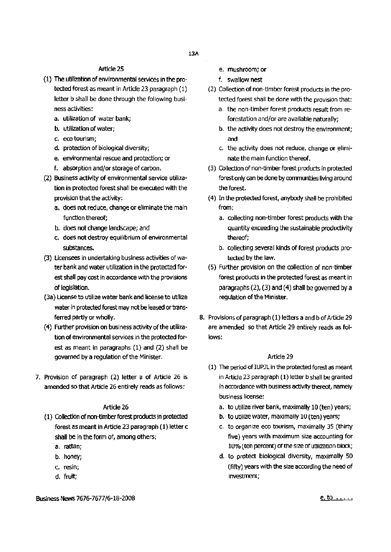# Artide 25

- (1) The utilization of environmental services intheprotected forest as meant in Article 23 paragraph (1) letter b shall be done through the following businessactivities:
	- a. utilization of water bank;
	- b. utilization of water;
	- c. eco tourism;
	- d. protection of biological diversity;
	- e. environmental rescueand protection; or
	- f. absorption and/or storage of carbon.
- (2) Business activity of environmental service utilization in protected forest shall be executed with the provision that the activity:
	- a. does not reduce, change or eliminate the main function thereof;
	- b. does not change landscape; and
	- c. does not destroy equilibrium of environmental substances.
- (3) Licensees in undertaking business activities of water bank and water utilization in the protected forest shall pay cost in accordance with the provisions of legislation.
- (3a) license to utilize water bank and licenseto utilize water in protected forest may not be leased or transferred partly or wholly.
- (4) Further provision on business activity of the utilization of environmental services in the protected forest as meant in paragraphs (1) and (2) shall be governed by a regulation of the Minister.
- 7. Provision of paragraph (2) letter a of Article 26 is amended so that Article 26 entirely reads as follows:

### Article 26

- (1) Collection of non-timber forest products in protected forest as meant in Article 23 paragraph (1) letter c shall be in the form of, among others:
	- a. rattan;
	- b. honey;
	- c. resin;
	- d. fruit;
- e. mushroom; or
- f. swallow nest
- (2) Collection of non-timber forest products in the protected forest shall be donewith the provision that:
	- a. the non-timber forest products result from reforestation and/or are available naturally;
	- b. the activity does not destroy the environment; and
	- c. the activity does not reduce, change or eliminate the main function thereof.
- (3) Collection of non-timber forest products in protected forest only can be done by communities living around the forest.
- $(4)$  In the protected forest, anybody shall be prohibited from:
	- a. collecting non-timber forest products with the quantity exceeding the sustainable productivity thereof;
	- b. collecting several kinds of forest products protected by the law.
- (5) Further provision on the collection of non-timber forest products in the protected forest as meant in paragraphs  $(2)$ ,  $(3)$  and  $(4)$  shall be governed by a requiation of the Minister.
- 8. Provisions of paragraph(1) letters a and b of Article 29 are amended so that Article 29 entirely reads as follows:

- (1) The period of IUPJL in the protected forest as meant in Article 23 paragraph (1) letter b shall be granted in accordance with business activity thereof, namely business license:
	- a. to utilize river bank, maximally 10 (ten) years;
	- b. to utilize water, maximally 10 (ten) years;
	- c. to organize eco tourism, maximally 35 (thirty five) years with maximum size accounting for 10% (ten percent) of the size of utilization block;
	- d. to protect biological diversity, maximally 50 (fifty) years with the size according the need of Investment;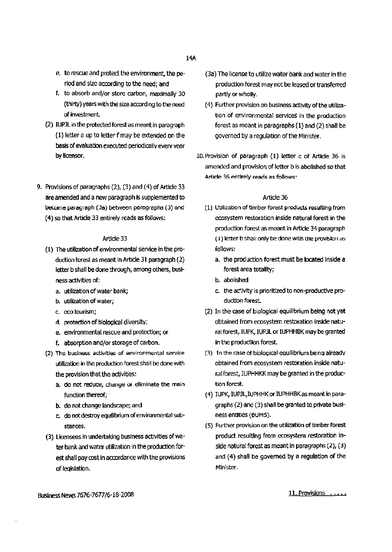- e. torescue and protect the environment, the periodand size according to the need; and
- f. to absorb and/or store carbon, maximally 30 (thirty) years with the size according to the need of investment.
- (2) IUPJL in the protected forest as meant in paragraph  $(1)$  letter a up to letter f may be extended on the basis of evaluation executed periodically every year by licensor.
- 9. Provisions of paragraphs (2), (3) and(4) of Article 33 are amended and a new paragraph is supplemented to become paragraph (3a) between paragraphs (3) and (4) so that Article 33 entirely reads as follows:

- (1) The utilization of environmental service inthe production forest as meant in Article 31 paragraph (2) letter b shall be done through, among others, business activities of:
	- a. utilization of water bank;
	- b. utilization of water;
	- c. eco tourism;
	- fl. protection of biolooical diversity;
	- e. environmental rescue and protection;or
	- f. absorption and/or storage of carbon.
- (2) The business activities of environmental service utilization in the production forest shall be done with the provision that the activities:
	- a. do not reduce, change or eliminate the main function thereof;
	- b. do not change landscape; and
	- c. do not destroy equilibrium of environmental substances.
- (3) Licensees in undertaking business activities of water bankandwater utilization inthe production forest shall pay cost in accordance with the provisions of legislation.
- (3a) The license to utilizewater bankand water in the production forest may not be leased or transferred partly or wholly.
- (4) Further provision on business activity of the utilization of environmental services in the production forest as meant in paragraphs  $(1)$  and  $(2)$  shall be governed by a regulation of the Minister.
- IO.Provision of paragraph (1) letter c of Article 36 is amended and provision of letter b is abolished so that Article 36 entirely reads as follows:

- (1) Utilization of timber forest products resulting from ecosystem restoration inside natural forest in the production forest as meant in Article 34 paragraph  $(1)$  letter b shall only be done with the provision as follows:
	- a. the production forest must be located inside a forest area totality;
	- b. abolished
	- c. the activity is prioritized to non-productive production forest.
- (2) In the case of biological equilibrium being not yet obtained from ecosystem restoration inside natural forest, IUPK, IUPJL or IUPHHBK may be granted in the production forest.
- n) Tn the case of biological equilibrium beingalready obtained from ecosystem restoration inside natural forest, IUPHHKK may be granted in the production forest.
- (4) IUPK, IUPJL, IUPHHK or IUPHHBK as meant in paragraphs (2) and (3) shall be granted to private business entities (BUMS).
- (5) Further provision on the utilization of timber forest product resulting from ecosystem restoration inside natural forest as meant in paragraphs  $(2)$ ,  $(3)$ and (4) shall be governed by a regulation of the Minister.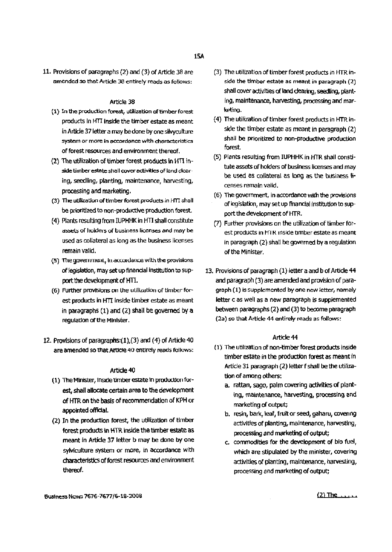11. Provisions of paragraphs (2) and (3) of Article38 are amended so that Article 38 entirely reads as follows:

#### Article 38

- (1) In the production forest, utilization of timber forest products in HTI inside the timber estate as meant in Article 37 letter a may be done by one silvyculture system or more in accordance with characteristics of forest resources and environment thereof.
- (2) The utilization of timber forest products in  $HTI$  inside timber estate shall cover activities of land clearing, seedling, planting, maintenance, harvesting, processing and marketing.
- (3) The utilization of timber forest products in HTI shall be prioritized to non-productive production forest.
- (4) Plants resulting from IUPHHK in HTI shall constitute assets or holders of business licenses and may be used as collateral as long as the business licenses remain valid.
- (5) The government, in accordance with the provisions of legislation, may set up financial institution to support the development of HTI.
- (6) Further provisions on the utilization of timber forest products in HTI inside timber estate as meant in paragraphs  $(1)$  and  $(2)$  shall be governed by a regulation of the Minister.
- 12. Provisions of paragraphs $(1)$ ,  $(3)$  and  $(4)$  of Article 40 are amended so that Article 40 entirely reads follows:

#### Article 40

- (1) The Minister, inside timber estate in production forest, shall allocate certain area to the development of HTR on the basis of recommendation of KPH or appointed offidal.
- (2) In the production forest, the utilization of timber forest products in HTR inside the timber estate as meant in Article 37 letter b may be done by one sylviculture system or more, in accordance with characteristics of forest resources and environment thereof.
- (3) The utilization of timber forest products in HTR inside the timber estate as meant in paragraph (2) shall cover activities of land clearing, seedling, planting, maintenance, harvesting, processing andmarketing.
- (4) The utilization of timber forest products in HTR inside the timber estate as meant in paragraph  $(2)$ shall be prioritized to non-productive production forest.
- (5) Plants resulting from IUPHHK in HTR shall constitute assets of holders of business licenses and may be used as collateral as long asthe business licenses remain valid.
- (6) The government, in accordance with the provisions of legislation, may setup finanCial institution to support the development of HTR.
- (7) Further provisions on the utilizationof timber forest products in HTR inside timber estate as meant in paragraph (2) shall be governed by a regulation of the Minister.
- 13. Provisions of paragraph (1) letter a and b of Article 44 and paragraph (3) are amended and provision of paragraph (1) is supplemented by one new letter, namely letter c as well as a new paragraph is supplemented between paragraphs (2) and (3) to become paragraph (2a) so that Article 44 entirely reads as follows:

- (1) The utilizationof non-timberforest products inside timber estate in the production forest as meant in Article 31 paragraph (2) letter f shall be the utilization of among others:
	- a. rattan, sago, palm covering activities of planting, maintenance, harvesting, processing and marketing of output;
	- b. resin, bark, leaf, fruit or seed, gaharu, covenng activities of planting, maintenance, harvesting, processing and marketing of output;
	- c. commodities for the development of bio fuel, which are stipulated by the minister, covering activities of planting, maintenance, harvesting, processing and marketing of output;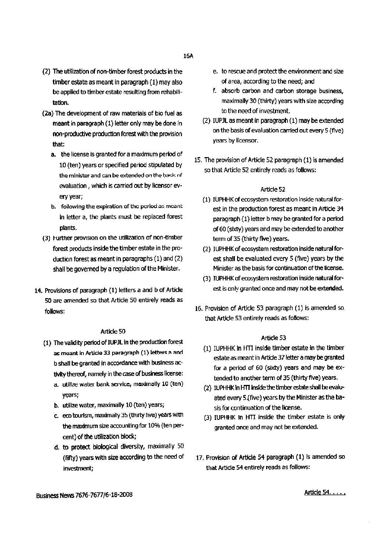- (2) The utilization of non-timber forest products in the timber estate as meant in paragraph (1) may also be applied to timber estate resulting from rehabilitation.
- (2a) The development of raw materials of bio fuel as meant in paragraph (1) letter only may be done in non-productive production forest with the provision that:
	- a. the license is granted for a maximum period of 10 (ten) years or specified period stipulated by the minister and can be extended on the basis of evaluation, which is carried out by licensor every year;
	- b. following the expiration of the period as meant in letter a, the plants must be replaced forest plants.
- (3) Further provision on the utilization of non-timber forest products inside the timber estate in the production forest as meant in paragraphs  $(1)$  and  $(2)$ shall be governed by a regulation of the Minister.
- 14. Provisions of paragraph (1) letters a and b of Article 50 are amended so that Article 50 entirely reads as follows:

#### Artide 50

- (1) The validity period of IUPJL in the production forest as meant in Article 33 paragraph  $(1)$  letters a and b shall be granted in accordance with business activity thereof, namely in the case of business license:
	- a. utilize water bank service, maximally 10 (ten) years;
	- b. utilize water, maximally 10 (ten) years;
	- c. eco tourism, maximally 35 (thirty five) years with the maximum size accounting for 10% (ten percent) of the utilization block;
	- d. to protect biological diversity, maximally 50 (fifty) years with size according to the need of investment;
- e. to rescue and protect the environment and size of area, according to the need;and
- f. absorb carbon and carbon storage business, maximally 30 (thirty) years with size according to the need of investment.
- (2) IUPJL as meant in paragraph (1) may be extended onthe basis of evaluation carried out every5 (five) years by licensor.
- 15. The provision of Article 52 paragraph (1) is amended sothat Article 52 entirely reads as follows:

#### Article 52

- (1) IUPHHKof ecosystem restoration inside natural forest in the production forest as meant in Article 34 paragraph (1) letter b may be granted for a period of 60 (sixty) years and may be extended to another term of 35 (thirty flve) years.
- (2) IUPHHK of ecosystem restoration inside natural forest shall be evaluated every 5 (five) years by the Minister as the basis for continuation of the license.
- (3) IUPHHKof ecosystem restoration inside natural forest is only granted once and may not be extended.
- 16. Provision of Article 53 paragraph (1) is amended- so that Article 53 entirely reads as follows:

#### Artide 53

- (1) IUPHHK in HTI inside timberestate in the timber estate as meant in Article 37 letter a may be granted for a period of 60 (sixty) years and may be extended to another term of 35 (thirty five) years.
- (2) IUPHHK in HTT inside the timber estate shall be evaluated every 5.(five) years by the Minister as the basis for continuation of the license.
- (3) IUPHHK in HTI inside the timber estate is only granted once and may not be extended.
- 17. Provision of Article 54 paragraph (1) is amended so that Article 54 entirely reads as follows:

Business News 7676-7677/6-18-2008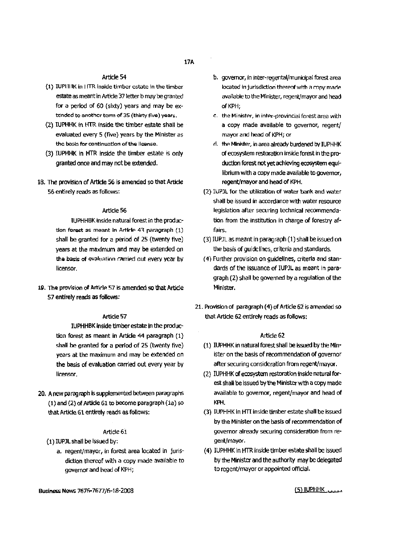- (1) IUPHIK in HTR inside timber estate in the timber estate as meant in Article 37 letter b may be granted for a period of 60 (sixty) years and may be extended to another term of 35 (thirty five) years.
- (2) IUPHHK In HTRinside the timber estate shall be evaluated every 5 (five) years by the Minister as the basis for continuation of the license.
- (3) lUPHHK in HTR inside the timber estale is only granted once and may not be extended.
- 18. The provision of Article 56 is amended so that Article 56 entirely reads as follows:

#### Article 56

IUPHHBK inside natural forest in the production forest as meant in Artirle 43 paragraph  $(1)$ shall be granted for a period of 25 (twenty five) years at the maximum and may be extended on the basis of evaluation carried out every year by licensor.

19. The provision of Article 57 is amended so that Article 57 entirely reads as follows:

#### Article 57

IUPHHBK inside timber estate in the production forest as meant in Artide 44 paragraph (1) shall be granted for a period of 25 (twenty five) years at the maximum and may be extended on the basis of evaluation carried out every year by licensor\_

20. A new paragraph is supplemented between paragraphs (1) and(2) of Article 61 to become paragraph (1a) so that Article 61 entirely reads as follows:

#### Article 61

- (1) IUPJL shall be issued by:
	- a. regent/mayor, in forest area located in jurisdiction thereof with a copy made available to governor and head of KPH;
- b. governor, in inter-regental/municipal forest area located in jurisdiction thereof with a copy made available to the Minister, regent/mayor and head of KPH;
- c. the Minister, in inter-provincial forest area with a copy made available to governor, regent/ mayor and head of KPH; or
- d. the Minister, in area already burdened by IUPHHK of ecosystem restoration inside forest in the production forest not yet achieving ecosystem equilibrium with a copy made available to governor, regent/mayor and head of KPH.
- (2) IUPJL for the utilization of water bank and water shall be issued in accordance with water resource legislation after securing technical recommendation from the institution in charge of forestry af~ fairs.
- (3) IUPJL as meant in paragraph (1) shall be issued on the basis of guidelines, criteria and standards.
- (4) Further provision on guidelines, criteria and standards of the issuance of IUPJL as meant in paragraph (2) shall be governed by a regulation of the Minister.
- 21. Provision of paragraph (4) of Article 62 is amended so that Article 62 entirely reads as follows:

#### Artide 62

- (1) IUPHHK in natural forest shall be issued by the Minister on the basis of recommendation of governor after securing consideration from regent/mayor.
- (2) IUPHHK of ecosystem restoration inside natural forest shall be issued by the Minister with a copy made available to governor, regent/mayor and head of KPH.
- (3) IUPHHK in HTT inside timber estate shall be issued by the Minister on the basis of recommendation of governor already securing consideration from regent/mayor.
- (4) IUPHHK in HTR inside timber estate shall be issued by the Minister and the authority may be delegated to regent/mayor or appointedofficial.

 $(5)$  IUPHHK  $\ldots$ 

Business News 7676-7677/6-18-2008

### 17A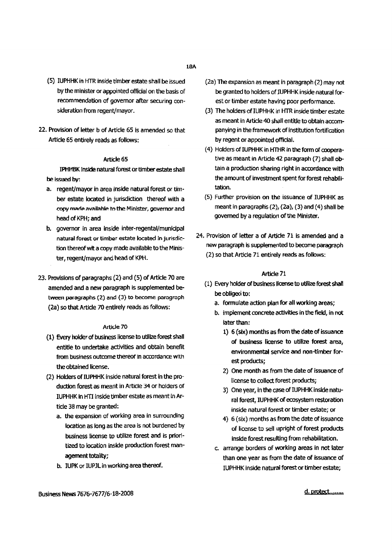- (5) IUPHHK in HTR inside timber estate shallbe issued by the minister or appointed official on the basis of recommendation of governor after securing consideration from regent/mayor.
- 22. Provision of letter b of Article 65 is amended so that Article 65 entirely reads as follows:

IPHHBK insidenatural forestor timberestateshall be issued by:

- a. regent/mayor in area inside natural forest or timber estate located in jurisdiction thereof with a copy made available to the Minister, governor and head of KPH; and
- b. governor in area inside inter-regental/municipal natural forest or timber estate located in jurisdiction thereof wit a copy made available to the Minister, regent/mayor and head of KPH.
- 23. Provisions of paragraphs (2) and (5) of Article 70 are amended and a new paragraph is supplemented between paragraphs (2) and (3) to become paragraph (2a) so that Article 70 entirely reads as follows:

#### Article 70

- (1) Every holder of business license to utilize forest shall entitle to undertake activities and obtain benefit from business outcome thereof in accordance with the obtained license.
- (2) Holders of IUPHHK inside natural forest in the production forest as meant in Article 34 or holders of IUPHHK in HTI inside timber estate as meant in Article 38 may be granted:
	- a. the expansion of working area in surrounding location as long as the area is not burdened by business license to utilize forest and is prioritized to location inside production forest management totality;
	- b. IUPK or IUPJL in working area thereof.
- $(2a)$  The expansion as meant in paragraph  $(2)$  may not be granted to holders of IUPHHK inside natural forest or timber estate having poor performance.
- (3) The holders of IUPHHK in HTR inside timber estate as meant in Article 40 shall entitle to obtain accompanying in the framework of institution fortification by regent or appointed official.
- (4) Holders of IUPHHK in HTHR in the form of cooperative as meant in Article 42 paragraph (7) shall obtain a production sharing right in accordance with the amount of investment spent for forest rehabilitation.
- (5) Further provision on the issuance of IUPHHK as meant in paragraphs  $(2)$ ,  $(2a)$ ,  $(3)$  and  $(4)$  shall be governed by a regulation of the Minister.
- 24. Provision of letter a of Article 71 is amended and a new paragraph is supplemented to become paragraph (2) 50 that Article 71 entirely readsas folbws:

#### Article 71

- (1) Every holder of business license to utilize forest shall be obliged to:
	- a. formulate action plan for all working areas;
	- b. implement concrete activities in the field, in not later than:
		- 1) 6 (six) months as from the date of issuance of business license to utilize forest area, environmental service and non-timber forest products;
		- 2) One month as from the date of issuance of license to collect forest products;
		- 3) One year, in the case of IUPHHK inside natural forest, IUPHHK of ecosystem restoration inside natural forest or timber estate; or
		- 4) 6 (six) months as from the date of issuance of license to sell upright of forest products inside forest resulting from rehabilitation.
	- c. arrange borders of working areas in not later than one year as from the date of issuance of IUPHHK inside natural forest or timber estate;

Business News 7676-7677/6-18-2008

d.protect........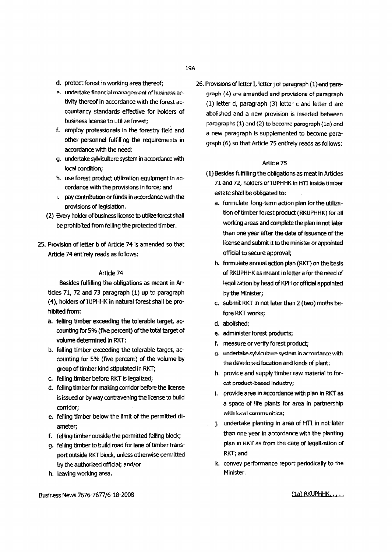- d. protect forest in working area thereof:
- e. undertake financial management of business activity thereof in accordance with the forest accountancy standards effective for holders of business license to utilize forest;
- f. employ professionals in the forestry field and other personnel fulfilling the requirements in accordance with the need;
- g. undertake sylviculture system inaccordance with local condition;
- h. use forest product utilization equipment in accordance with the provisions in force; and
- i. pay contribution or funds in accordance with the provisions of legislation.
- (2) Every holder of business license to utilize forest shall be prohibited from felling the protected timber.
- 25. Provision of letter b of Article 74 is amended so that Article 74 entirely reads as follows:

Besides fulfilling the obligations as meant in Articles 71, 72 and 73 paragraph (1) up to paragraph (4), holders of IUPHHK in natural forest shall be prohibited from:

- a. felling timber exceeding the tolerable target, accounting for 5% (fIVe percent) of the total target of volume determined in RKT;
- b. felling timber exceeding the tolerable target, accounting for 5% (fwe percent) of the volume by group of timber kind stipulated in RKT;
- c. felling timber before RKT is legalized;
- d. felling timber for making corridor before the license is issued or by way contravening the license to build corridor;
- e. felling timber below the limit of the permitted diameter;
- f. felling timber outside the permitted felling block;
- g. felling timber to build road for lane of timber transport outside RKT block, unless otherwise permitted bythe authorizedofficial; and/or
- h. leaving working area.

26. Provisions of letter I, letter j of paragraph (1) and paragraph (4) are amended and provisions of paragraph (1) letter d, paragraph (3) letter c and letter d are abolished and a new provision is inserted between paragraphs (1) and (2) to become paraqraph (La) and a new paragraph is supplemented to become paragraph (6) so that Article 75 entirely reads as follows:

#### Article 75

- (1) Besides fulfilling the obligationsas meatin Articles 71 and 72, holders of IUPHHK In HTI inside timber estate shall be obligated to:
	- a. formulate long-term action plan for the utilization of timber forest product(RKUPHHK) for all working areas and complete the plan in not later than one year after the date of issuance of the license and submit it to the minister or appointed official to secure approval;
	- b. formulate annual action plan (RKT) on the basis of RKUPHHK as meant in letter a for the need of legalization by head of KPH or official appointed bythe Minister;
	- c. submit RKT in not later than 2 (two) mothsbefore RKT works;
	- d. abolished:
	- e. administer forest products;
	- f. measure or verify forest product;
	- g. undertake sylviculture system in accordance with the developed location and kinds of plant;
	- h. provide and supply timber raw material to forest product-based industry;
	- i. provide area in accordance with plan in RKT as a space of life plants for area in partnership with local communities;
	- j. undertake planting in area of HTI in not later than one year in accordance with the planting plan in RKT as from the date of legalization of RKT;and
	- k. convey performance report periodically to the Minister.

Business News7676-7677/6-18-2008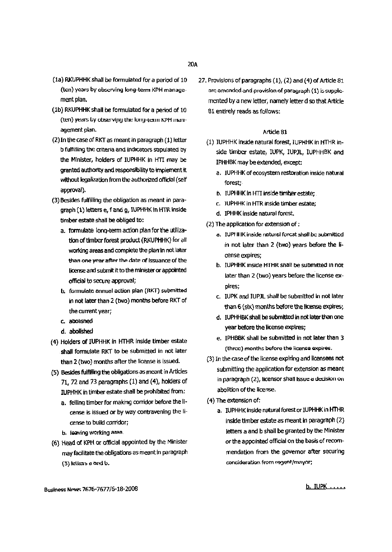- (1a) RKUPHHK shall be formulated for a period of 10 (ten) years by observing long-term KPH management plan.
- (1b) RKUPHHK shall be formulated for a period of 10 (ten) years by observing the long-term KPH management plan.
- $(2)$  In the case of RKT as meant in paragraph  $(1)$  letter b fulfilling the criteria and indicators stipulated by the Minister, holders of IUPHHK in HTI may be granted authority and responsibility to implement tt without legalization from the authorized official (self approval).
- (3) Besides fulfilling the obligation as meant in paragraph (1) letters e, f and g, IUPHHK in HTR inside timber estate shall be obliged to:
	- a. formulate long-term action pian for the utilization of timber forest product (RKUPHHK) for all working areas and complete the plan in not later than one year after the date of issuance of the license and submit it to the minister or appointed official to secure approval;
	- b. formulate ennuel action plan (RKT) submitted in not later than 2 (two) months before RKT of the current year;
	- c. abOliShed
	- d. abolished
- (4) Holders of IUPHHK in IffHR inside timber estate shall formulate RKT to be submitted in not later than 2 (two) months after the license is issued.
- (5) Besides fulfilling the obligations as meant in Articles 71,72 and 73 paragraphs (I) and (4), holders of IUPHHK in timber estate shall be prohibited from:
	- a. felling timber for making corridor before the license is issued or by way contravening the license to build corridor;
	- b. leaving working area.
- (6) Head of KPH or official appointed by the Minister may facilitate the obligations as meant in paragraph  $(3)$  letters a and  $b$ .

27. Provisions of paragraphs  $(1)$ ,  $(2)$  and  $(4)$  of Article 81 arc amended and provision of paragraph (1) is supplemented by a new letter, namely letter d so that Article 81 entirely reads as follows:

#### Article 81

- (1) IUPHHK inside natural forest, IUPHHK in HTHR inside timber estate, IUPK, IUPJL, IUPHHBK and IPHHBK maybe extended,except:
	- a. IUPHHK of ecosystem restoration inside natural forest;
	- b. IUPHHK in HTI inside timber estate;
	- c. JUPHHK in HTR inside timber estate;
	- d. IPHHK inside natural forest.
- $(2)$  The application for extension of:
	- a. IUPI II IK inside natural forest shall be submitted in not later than 2 (two) years before the license expires;
	- b. IUPHHK inside HTHR shall be submitted In nor later than 2 (two) years before the license expires;
	- c. IUPKand IUPJLshall be submitted in not later than 6 (six) months before the license expires;
	- d. IUPHHBK shall be submitted in not later than one year before the license expires;
	- e. IPHBBK shall be submitted in not later than 3 (three) months before the license expires.
- (3) In the caseofthe license expiring and licensees not submitting the application for extension as meant in paragraph (2), licensor shall issue a decision on abolition of the license.
- $(4)$  The extension of:
	- a. IUPHHK inside natural forest or IUPHHK in HTHR inside timber estate as meant in paragraph (2) letters a and b shall be granted by the Minister or the appointed official on the basis of recommendation from the governor after securing consideration from regent/mayor;

BusinessNpw<;. *7676-7677/6-18-2008*

b. IUPK .....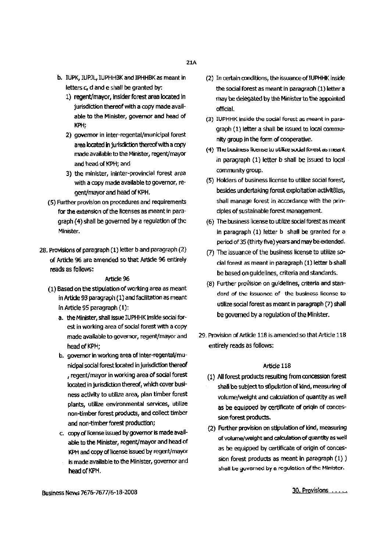- b. IUPK, IUPJL. IUPHHBK and IPHHBK as meant in letters *c,* d and e shall be granted by:
	- 1) regent/mayor, insider forest area located in jurisdiction thereof with a copy made available to the Minister, governor and head of KPH;
	- 2) governor in inter-regental/municipal forest area located in jurisdiction thereof with a copy made available to the Minister, regent/mayor and head of KPH; and
	- 3) the minister, ininter-provincial forest area with a copy made available to governor, regent/mayor and head of KPH.
- (5) Further provision on procedures and requirements for the extension of the licenses as meant in paragraph (4) shall be governed by a regulation of the Minister.
- 28. Provisions of paragraph (1) letter b and paragraph (2) of Article 96 are amended so that Article 96 entirely reads as follows:

- (1) Based on the stipulation of working area as meant in Article 93 paragraph (1) and facilitation as meant inArticle 95 paraqraph(1):
	- a. the Minister, shall issue IUPHHK inside social forest in working area of social forest with a copy made available to governor, regent/mayor and head of KPH:
	- b. governor in working area of inter-regental/municipal social forest located in jurisdiction thereof , regent/mayor in working areaof social forest located in jurisdiction thereof, which cover business activity to utilize area, plan timber forest plants, utilize environmental services, utilize non-timber forest products,and collect timber and non-timber forest production;
	- c. copy of license issued by governor is made available to the Minister, regent/mayor and head of KPH and copy of license issued by regent/mayor is made available to the Minister, governor and headofKPH.
- (2) In certain conditions, the issuance of IUPHHK inside the social forest as meant in paragraph (1) letter a may be delegated by the Minister to the appointed official.
- (3) IUPHHK inside the social forest as meant in paragraph (1) letter a shall be issued to local community group in the form of cooperative.
- (4) The business license to utilize social forest as meant. in paragraph  $(1)$  letter b shall be issued to local community group.
- (5) Holders of business license to utilize social forest, besides undertaking forest exploitation activit8ies, shall manage forest in accordance with the principles of sustainable forest management.
- (6) The business license to utilize social forest as meant in paragraph (1) letter b shall be granted for a period of 35 (thirty five) years and may be extended.
- (7) The issuance of the business license to utilize social forest as meant in paragraph (1) letter b shall be based on guidelines, criteria and standards.
- (8) Further provisionon guidelines, criteria and standard of the issuance of the business license to utilize social forest as meant in paragraph (7) shall be governed by a regulation of the Minister.
- 29. Provision of Article 118 is amended so that Article 118 entirely reads as follows:

- (1) All forest products resulting from concession forest shall be subject to stipulation of kind, measuring of volume/weight and calculation of quantity as well as be equipped by certificate of origin of concession forest products.
- (2) Further provision on stipulation of kind, measuring of volume/weight and calculation of quantity as well as be equipped by certificate of origin of concession forest products as meant in paragraph (1)) shall be governed by a regulation of the Minister.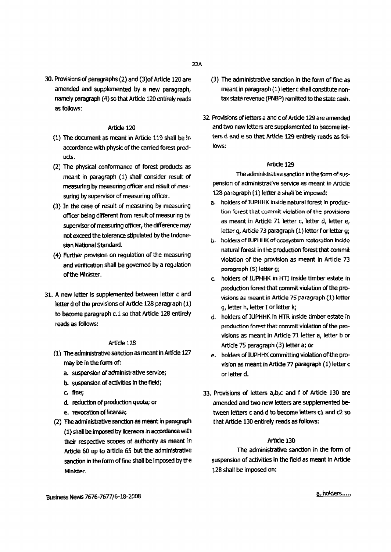30. Provisions of paragraphs (2) and (3) of Article 120 are amended and supplemented by a new paragraph, namely paragraph (4) so that Article 120 entirely reads as follows:

# Article 120

- $(1)$  The document as meant in Article 119 shall be in accordance with physic of the carried forest products.
- (2) The physical conformance of forest products as meant in paragraph (1) shall consider result of measuring by measuring officer and result of measuring by supervisor of measuring officer.
- (3) In the case of result of measuring by measuring officer being different from result of measuring by supervisor of measuring officer, the difference may not exceed the tolerance stipulated by the Indonesian National Standard.
- (4) Further provision on regulation of the measuring and verification shall be governed by a regulation of the Minister.
- 31. A new letter is supplemented between letter c and letter d of the provisions of Article 128 paragraph  $(1)$ to become paragraph c.1 so that Article 128 entirely reads as follows:

# Article 128

- (1) The administrative sanction as meant in Article 127 maybe in the form of:
	- a. suspension of administrative service;
	- b. suspension of activities in the field;
	- c. fine;
	- d. reduction of production quota; or
	- e. revocation of license;
- (2) The administrative sanction as meant in paragraph (1) shall be imposed by licensors in accordance with their respective scooes of authority as meant in Article 60 up to article 55 but the administrative sanction in the form of fine shall be imposed by the Minister.
- (3) The administrative sanction in the form of fine as meant in paragraph (1) letter c shall constitute nontax state revenue (PNBP) remitted to the state cash.
- 32. Provisions of letters a and c of Article 129 are amended and two new letters are supplemented to become letters d and e so that Article 129 entirely reads as follows:

### Article 129

The administrative sanction in the form of suspenston or administratIVe service as meant In Article 128 paragraph (1) letter a shall be imposed:

- a. holders of IUPHHK inside natural forest in production forest that commit violation of the provisions as meant in Article 71 letter c, letter d, letter e, letter q, Article 73 paragraph (1) letter f or letter q;
- b. holders of IUPHHK of ecosystem restoration inside natural forest in the production forest that commit violation of the provision as meant in Artide 73 paragraph (5) letter *9i*
- c. holders of IUPHHK in IfTl inside timber estate in production forest that commit violation of the provisions as meant in Article 75 paragraph (1) letter g, letter h, letter I or letter k;
- d. holders of IUPHHK in HTR inside timber estate in production forest that commit violation of the provisions as meant in Article 71 letter a, letter **b** or Article75 paragraph (3) letter a; or
- e. holders of IUPHHK committing violation of the provision as meant in Article 77 paragraph (1) letter c or letter d.
- 33. Provisions of letters a,b,c and f of Article 130 are amended and two new letters are supplemented between letters c and d to become letters c1 and c2 so that Article 130 entirely reads as follows:

# Article 130

The administrative sanction in the form of suspension of activities in the field as meant in Article 128 shall be imposed on: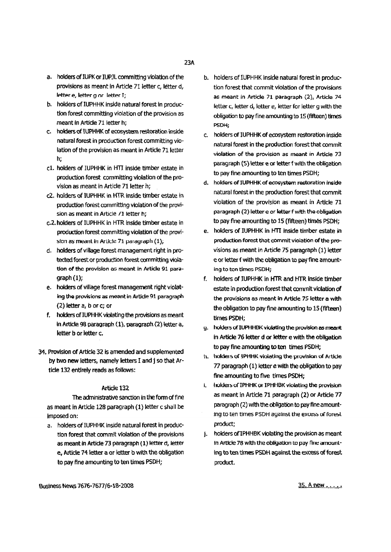- a. holders of IUPK or IUPJL committing violation of the provisions as meant in Article 71 letter c, letter d, letter e, letter g or letter T;
- b. holders of IUPHHK inside natural forest in production forest committing violation of the provision as meant in Article 71 letter h;
- c. holders of IUPHHK of ecosystem restoration inside natural forest in production forest committing violation of the provision as meant in Article 71 letter h;
- c1. holders of IUPHHK in HTI inside timber estate in production forest committing violation of the provision as meant in Article 71 letter h;
- c2. holders of IUPHHK in HTR inside timber estate in production forest committing violation of the provision as meant in Article /1 letter h;
- c.2. holders of IUPHHK in HTR inside timber estate in production forest committing violation of the provision as meant in Article 71 paragraph (1);
- d. holders of village forest management right in protected forest or production forest committing violation of the provision as meant in Article 91 paragraph(1);
- e. holders of village forest management right violating the provisions as meant in Article 91 paragraph (2) letter a, b or c; or
- f. holders of IUPHHK violating the provisions as meant in Article. 98 paraaraph (1), paragraph (2) letter a, letter b or letter c.
- 34. Provision of Article 32 is amended and supplemented by two new letters, namely letters I and j so that Article 132 entirely reads as follows:

The administrative sanction in the form of fine as meant in Article 128 paragraph (1) letter c shall be imposed on:

a. holders of IUPHHK insidenaturalforest in production forest that commit violation of the provisions as meant in Article 73 paragraph (1) letter d, letter e, Article 74 letter a or letter b with the obligation to pay fine amounting to ten times PSDH;

- b. holders of IUPHHK inside natural forest in production forest that commit violation of the provisions as meant in Article 71 paragraph  $(2)$ , Article 74 letter c, letter d, letter e, letter for letter g with the obligation to pay fine amounting to 15 (fifteen) times PSDHi
- c. holders of lUPHHK of eoosystem restoration inside natural forest in the production forest that commit violation of the provision as meant in Artide 73 paragraph (5) letter e or letter f with the obligation to pay fine amounting to ten times PSDH;
- d. holders of IUPHHK of ecosystem restoration inside natural forest in the production forest that commit violation of the provision as meant in Article 71 paragraph (2) letter e or letter f with the obligation to pay fine amounting to 15 (fifteen) times PSDH;
- e. holders of IUPHHK in  $HTI$  inside timber estate in production forest that commit violation of the provisions as meant in Article 75 paragraph (1) letter e or letter f with the obligation to pay fine amounting to ten times PSDH:
- f. holders of IUPHHK in HTR and HTR inside timber estate in production forest that commit violation of the provisions as meant In Artide 7S letter a with the obligation to pay fine amounting to 15 (fifteen) times PSDH;
- g. holders of IUPHHBK violating the provision as meant in Article 76 letter d or letter e with the obligation to pay fine amounting to ten times PSDH;
- ti. holders of IPHHK violating the provision of Article 77 paragraph (1) letter e with the obligation to pay fine amounting to five times PSDH;
- i, holders of IPHHK or IPHHBK violating the provision as meant in Article 71 paragraph (2) or Artide 77 paragraph (2) with the obligation to pay fine amounting to ten times PSDH against the excess of forest product;
- j. holders of TPHHBK violating the provision as meant In Article 78 with the obligation to pay fine amounting to ten times PSDH against the excess of forest product.

Business News 7676-7677/6-18-2008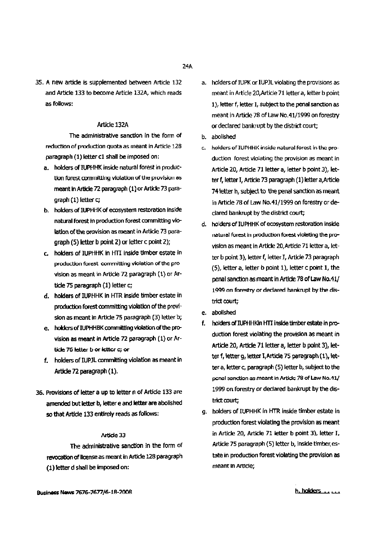35. A new article is supplemented between Article 132 and Article 133 to become Article 132A, which reads as follows:

#### Article 132A

The administrative sanction in the form of reduction of production quota as meant in Article 128 paragraph (1) letter c1 shall be imposed on:

- a. holders of IUPHHK inside natural forest in production forest committing violation of the provision as meant in Article 72 paragraph (1) or Article 73 paragraph (1) letter c;
- b. holders of IUPHHK of ecosystem restoration inside natural forest in production forest committing violation of the provision as meant in Article 73 paragraph (5) letter b point 2) or letter  $c$  point 2);
- c. holders of IUPHHK in HTI inside timber estate in production forest committing violation of the provision as meant in Article 72 paragraph (1) or Article 75 paragraph (1) letter c;
- d. holders of IUPHHK In HTR Inside timber estate in production forest committing violation of the provision as meant in Article 75 paragraph (3) letter b;
- e. holders of IUPHHBK committing violation of the provision as meant in Article 72 paragraph (1) or Article 76 letter b or letter c; or
- f. holders of IUPJL committing violation as meant in Article 72 paragraph (I).
- 36. Provisions of letter a up to letter n of Article 133 are amended but letter b, letter e and letter are abolished so that Article 133 entirely reads as follows:

#### I\rtide 33

The administrative sanction in the form of revocation of license as meant in Article 128 paragraph (1) letterd shall be Imposed on:

- a. holders of IUPK or IUPJL violating the provisions as meant in Article 20, Article 71 letter a, letter b point 1), letter f, letter I, subject to the penal sanction as meant in Article 78 of Law No.41/1999 on forestry or declared bankrupt by the district court;
- b. abolished
- c. holders of IUPHHK inside natural forest in the production forest violating the provision as meant in Article 20, Article 71 letter a, letter b point 3), letter f, letter I, Article 73 paragraph (1) letter a, Article 74 letter h, subject to the penal sanction as meant in Article 78 of Law No.41/1999 on forestry or declared bankrupt by the district court;
- d. holders of IUPHHK of ecosystem restoration inside returet forest in production forest violating the provision as meant in Article 20, Article 71 letter a, letter b point 3), letter f, letter I, Article 73 paragraph  $(5)$ , letter a, letter b point 1), letter c point 1, the penal sanction as meant in Article 78 of Law No.41/ 1999 on forestry or declared bankrupt by the district court;
- e. abolished
- f. holders of IUPHHKin HTI inside timber estate in production forest violating the provision as meant in Article 20, Article 71 letter a, letter b point 3), letter f, letter g, letter I, Article 75 paragraph (1), letter a, letter c, paragraph (5) letter b, subject to the penal sanction as meant in Article 78 of Law No.41/ 1999 on forestry or declared bankrupt by the district court;
- g. holders of IUPHHK in HTR inside timber estate in production forest violating the provision as meant in Article 20, Article 71 letter b point 3), letter I. Article 75 paragraph (5) letter b, inside timber estate in production forest violating the provision as meant InArtIde;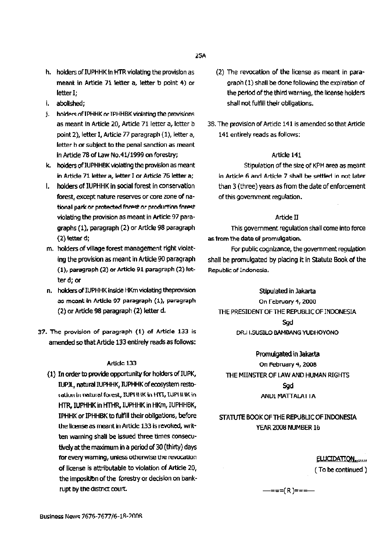- h. holders of IUPHHK in HTR violating the provision as meant in Article 71 letter a, letter b point 4) or letter I:
- i. abolished:
- j. holders of IPHHK or IPHHBK violating the provisions as meant in Article 20, Article 71 letter a, letter b point 2), letter I. Article 77 paragraph (1), letter a, letter b or subject to the penal sanction as meant in Article 78 of Law No.41/1999 on forestry:
- k. holders of IUPHHBK violating the provision as meant in Article 71 letter a, letter I or Article 76 letter a;
- I. bolders of IUPHHK in social forest in conservation forest, except nature reserves or core zone of national park or protected forest or production forest violating the provision as meant in Article 97 paragraphs (1), paragraph (2) or Article 98 paragraph (2) letter d;
- m. holders of village forest management right violating the provision as meant in Article 90 paragraph (1), paragraph (2) or Article 91 paragraph (2) letter d; or
- n. holders of IUPHHK Inside HKm violating theprovision as meant in Article 97 paragraph (1), paragraph (2) or Article 98 paragraph (2) letter d.
- 37. The provision of paragraph (1) of Article 133 is amended so that Article 133 entirely reads as follows:

#### Artidc 133

(1) In order to provide opportunity for holders of IUPK, IUPJL, natural IUPHHK, IUPHHK of ecosystem restoration in natural forest, IUPHHK in HTT, IUPHHK in HTR, IUPHHK in HTHR, IUPHHK in HKm, IUPHHBK, IPHHK or IPHHBK to fulfill their obligations, before the license as meant in Article 133 is revoked, written warning shall be issued three times consecutively at the maximum in a period of 30 (thirty) days for every warning, unless otherwise the revocation of license is attributable to violation of Article 20, the imposition of the forestry or decision on bankrupt by the district court.

- (2) The revocation of the license as meant in paragraph (1) shall be done following the expiration of the period of the third warning, the license holders shall not fulfill their obligations.
- 38. The provision of Article 141 is amended so that Article 141 entirely reads as follows:

#### Article 141

Stipulation of the size of KPH area as meant in Article 6 and Article 7 shall be settled in not later than 3 (three) years as from the date of enforcement of this government regulation.

### Article II

This government regulation shall come into force as from the date of promulgation.

For public cognizance, the government regulation shall be promulgated by placing it in Statute Book of the Republic of Indonesia.

Stipulated in Jakarta On February 4, 2000 THE PRESIDENT OF THE REPUBLIC OF INDONESIA Sad DR.I I.SUSILO BAMBANG YUDHOYONO

Promulgated in Jakarta On February 4, 2008 THE MIINSTER OF LAW AND HUMAN RIGHTS Sad ANDI MATTALAI IA

# STATUTE BOOK OF THE REPUBLIC OF INDONESIA YEAR 2008 NUMBER 16

ELUCIDATION....... (To be continued)

–===(R)===—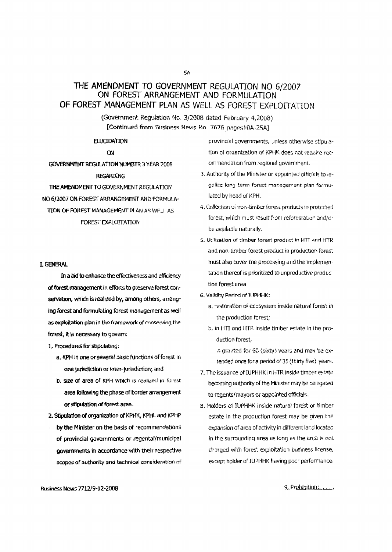# THE AMENDMENT TO GOVERNMENT REGULATION NO 6/2007 ON FOREST ARRANGEMENT AND FORMULATION OF FOREST MANAGEMENT PLAN AS WELL AS FOREST EXPLOITATION

(Government Regulation No. 3/2008 dated February 4,2008) [Continued from Business News No. 7676 pages10A-25A]

#### **ELUCIDATION**

ON

GOVERNMENT REGULATION NUMBER 3 YEAR 2008 **REGARDING** THE AMENDMENT TO GOVERNMENT REGULATION NO 6/2007 ON FOREST ARRANGEMENT AND FORMULA-TION OF FOREST MANAGEMENT PLAN AS WELL AS FOREST EXPLOTTATION

#### **I. GENERAL**

In a bid to enhance the effectiveness and efficiency of forest management in efforts to preserve forest conservation, which is realized by, among others, arranging forest and formulating forest management as well as exploitation plan in the framework of conserving the forest, it is necessary to govern:

- 1. Procedures for stipulating:
	- a. KPH in one or several basic functions of forest in one jurisdiction or inter-jurisdiction; and
	- b. size of area of KPH which is realized in forest area following the phase of border arrangement or stipulation of forest area.
- 2. Stipulation of organization of KPHK, KPHL and KPHP
- by the Minister on the basis of recommendations of provincial governments or regental/municipal governments in accordance with their respective scopes of authority and technical consideration of

provincial governments, unless otherwise stipulation of organization of KPHK does not require recommendation from regional government.

- 3. Authority of the Minister or appointed officials to legalize long term forest management plan formulated by head of KPH.
- 4. Collection of non-timber forest products in protected forest, which must result from reforestation and/or be available naturally.
- 5. Utilization of timber forest product in HTT and HTR and non-timber forest product in production forest must also cover the processing and the implementation thereof is prioritized to unproductive production forest area
- 6. Validity Period of TUPHHK:
	- a, restoration of ecosystem inside natural forest in the production forest:
	- b, in HTI and HTR inside timber estate in the production forest.

is granted for 60 (sixty) years and may be extended once for a period of 35 (thirty five) years.

- 7. The issuance of IUPHHK in HTR inside timber estate becoming authority of the Minister may be delegated to regents/mayors or appointed officials.
- 8. Holders of IUPHHK inside natural forest or timber estate in the production forest may be given the expansion of area of activity in different land located in the surrounding area as long as the area is not charged with forest exploitation business license, except holder of IUPHHK having poor performance.

**Business News 7712/9-12-2008** 

9. Prohibition: .....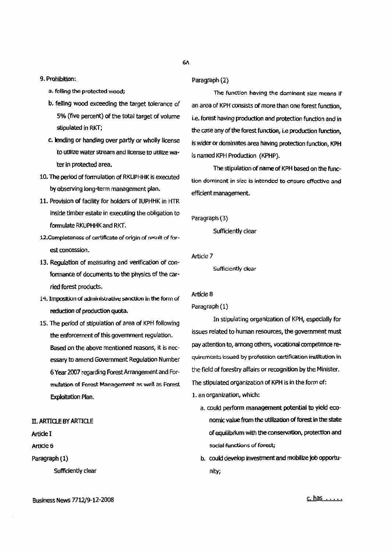- a. felling the protected wood;
- b. felling wood exceeding the target tolerance of 5% (five percent) of the total target of volume stipulated in RKT;
- c. lending or handing over partly or wholly license to utilize water stream and license to utilize water in protected area.
- 10. The period of formulation of RKUPHHK is executed by observing long-term management plan.
- 11. Provision of facility for holders of IUPHHK in HTR inside timber estate in executing the obligation to formulate RKUPHHK and RKT.
- 12. Completeness of certificate of origin of result of forest concession.
- 13. Regulation of measuring and verification of conformance of documents to the physics of the carried forest products.
- 14. Imposition of administrative sanction in the form of reduction of production quota.
- 15. The period of stipulation of area of KPH following the enforcement of this government regulation. Based on the above mentioned reasons, it is necessary to amend Government Regulation Number 6 Year 2007 regarding Forest Arrangement and Formulation of Forest Management as well as Forest Exploitation Plan.

### II. ARTICLE BY ARTICLE

Article I

Article 6

Paragraph (1)

Sufficiently clear

# 6Л

#### Paragraph (2)

The function having the dominant size means if an area of KPH consists of more than one forest function. i.e. forest having production and protection function and in the case any of the forest function, i.e production function, is wider or dominates area having protection function, KPH is named KPH Production (KPHP).

The stipulation of name of KPH based on the function dominant in size is intended to ensure effective and efficient management.

Paragraph (3)

Sufficiently clear

Article 7

Sufficiently clear

#### Artícle 8

Paragraph (1)

In stipulating organization of KPH, especially for issues related to human resources, the government must pay attention to, among others, vocational competence requirements issued by profession certification institution in the field of forestry affairs or recognition by the Minister. The stipulated organization of KPH is in the form of: 1. an organization, which:

- a. could perform management potential to yield economic value from the utilization of forest in the state of equilibrium with the conservation, protection and social functions of forest;
- b. could develop investment and mobilize job opportunity;

Business News 7712/9-12-2008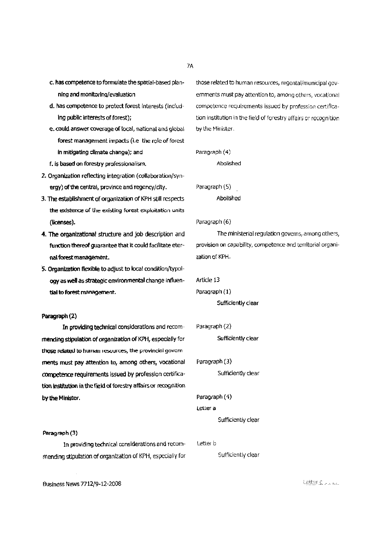- c. has competence to formulate the spatial-based planning and monitoring/evaluation
- d. has competence to protect forest interests (including public interests of forest);
- e, could answer coverage of local, national and global forest management impacts (i.e the role of forest in mitigating climate change); and
- f. is based on forestry professionalism.
- 2. Organization reflecting integration (collaboration/synergy) of the central, province and regency/city.
- 3. The establishment of organization of KPH still respects the existence of the existing forest exploitation units (licenses).
- 4. The organizational structure and job description and function thereof guarantee that it could facilitate eternal forest management.
- 5. Organization flexible to adjust to local condition/typology as well as strategic environmental change influential to forest management.

#### Paragraph (2)

In providing technical considerations and recommending stipulation of organization of KPH, especially for those related to human resources, the provincial govern ments must pay attention to, among others, vocational competence requirements issued by profession certification institution in the field of forestry affairs or recognition by the Minister.

#### Paragraph (3)

In providing technical considerations and recommending stipulation of organization of KPH, especially for those related to human resources, regental/municipal governments must pay attention to, among others, vocational competence requirements issued by profession certification institution in the field of forestry affairs or recognition by the Minister.

```
Paragraph (4)
```
Abolished

Paragraph (5) Abolished

#### Paragraph (6)

The ministerial regulation governs, among others, provision on capability, competence and territorial organization of KPH.

Article 13

#### Paragraph (1)

Sufficiently clear

Paragraph (2)

Sufficiently clear

#### Paragraph (3)

Sufficiently clear

#### Paragraph (4)

#### Letter a

Sufficiently clear

#### Letter b

Sufficiently clear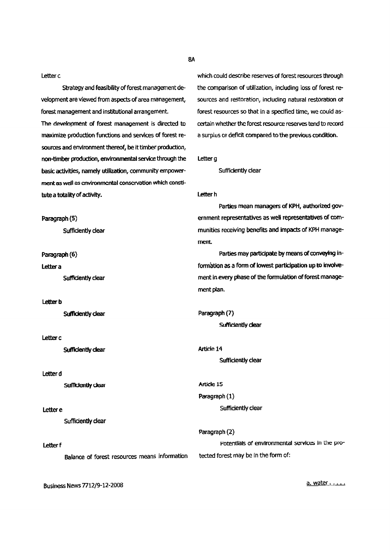Letter c

Strategy and feasibility of forest management development are viewed from aspects of area management, forest management and institutional arrangement.

The development of forest management is directed to maximize production functions and services of forest resources and environment thereof, be it timber production, non-timber production, environmental service through the basic activities, namely utilization, community empowerment as well as cnvironmental conservation which constitute a totality of activity.

Paragraph (5) Sufficiently clear

Paragraph (6)

Letter a

Sufficiently clear

#### **Letter b**

Sufficiently clear

### Letter c

Sufficiently clear

#### Letter d

Sufficiently clear

#### Letter e

Sufficiently clear

#### Letter f

Balance of forest resources means information

which could describe reserves of forest resources through the comparison of utilization, including loss of forest resources and restoration, including natural restoration of forest resources so that in a specified time, we could ascertain whether the forest resource reserves tend to record a surplus or deficit compared to the previous condition.

Letter<sub>q</sub>

Sufficiently clear

#### Letter h

Parties mean managers of KPH, authorized government representatives as well representatives of communities receiving benefits and impacts of KPH management.

Parties may participate by means of conveying information as a form of lowest participation up to involvement in every phase of the formulation of forest management plan.

Paragraph (7) Sufficiently clear

Article 14 Sufficiently clear

#### Article 15

Paragraph (1) Sufficiently clear

Paragraph (2) Potentials of environmental services in the protected forest may be in the form of:

**Business News 7712/9-12-2008** 

a. water . . . . .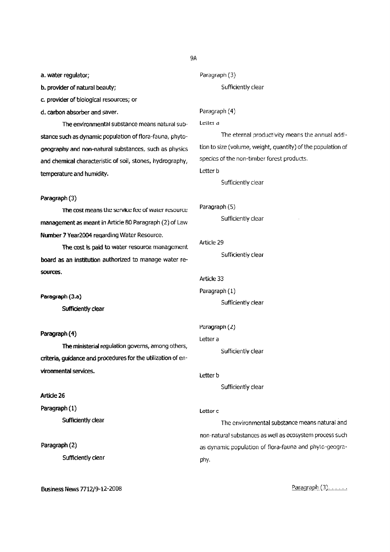a. water regulator;

b. provider of natural beauty;

c. provider of biological resources; or

d. carbon absorberand saver.

The environmental substance means natural substance such as dynamic population of flora-fauna, phytogeographyand non-natural substances, such as physics and chemical characteristic of soil, stones, hydrography, temperature and humidity.

#### Paragraph (3)

The cost means the service fee of water resource management as meant in Article 80 Paragraph (2) of Law Number7 Year2004 reqardingWater Resource.

The cost is paid to water resource management board as an institution authorized to manage water resources.

Paragraph (3.a)

Sufficiently clear

### Paragraph (4)

The ministerial regulation governs, among others, criteria, guidance and procedures for the utilization of environmental services.

#### Article 26

Paragraph (l) Sufficiently clear

Paragraph (2) Sufficiently clear

Business News *7712/9-12-2008*

```
Paragraph (3)
```
Sufficiently clear

#### Paragraph (4)

#### Letter d

The eternal productivity means the annual addition to size(volume, weight, quantity) of the population of species of the non-timber forest products.

Letter **b** 

Sufficiently clear

#### Paragraph (5)

Sufficiently clear

#### Article 29

Sufficiently clear

#### Article 33

Paragraph (1) Sufficiently clear

#### Paragraph  $(2)$

Letter a

Sufficiently clear

#### Letter b

Sufficiently clear

#### Letter<sub>c</sub>

The environmental substance means natural and non-natural substances as well as ecosystem process such as dynamic population of flora-fauna and phyto-geography.

Paragraph  $(3)$ ......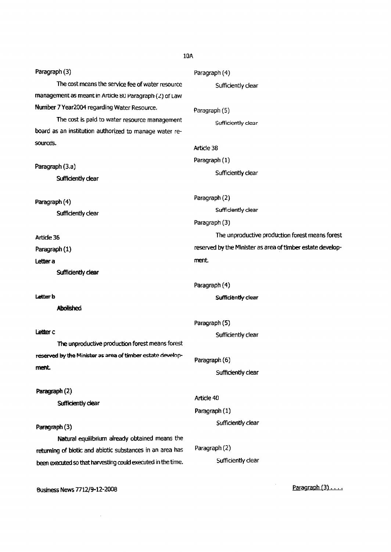| Paragraph (3)                                                | Paragraph (4)                                              |
|--------------------------------------------------------------|------------------------------------------------------------|
| The cost means the service fee of water resource             | Sufficiently clear                                         |
| management as meant in Article 80 Paragraph (2) of Law       |                                                            |
| Number 7 Year2004 regarding Water Resource.                  | Paragraph (5)                                              |
| The cost is paid to water resource management                | Sufficiently clear                                         |
| board as an institution authorized to manage water re-       |                                                            |
| sources.                                                     | Article 38                                                 |
|                                                              | Paragraph (1)                                              |
| Paragraph (3.a)                                              | Sufficiently clear                                         |
| Sufficiently clear                                           |                                                            |
|                                                              | Paragraph (2)                                              |
| Paragraph (4)                                                | Sufficiently clear                                         |
| Sufficiently clear                                           | Paragraph (3)                                              |
| Article 36                                                   | The unproductive production forest means forest            |
| Paragraph (1)                                                | reserved by the Minister as area of timber estate develop- |
| Letter a                                                     | ment                                                       |
| Sufficiently clear                                           |                                                            |
|                                                              | Paragraph (4)                                              |
| Letter b                                                     | Sufficiently clear                                         |
| <b>Abolished</b>                                             |                                                            |
|                                                              | Paragraph (5)                                              |
| Letter c                                                     | Sufficiently clear                                         |
| The unproductive production forest means forest              |                                                            |
| reserved by the Minister as area of timber estate develop-   | Paragraph (6)                                              |
| ment.                                                        | Sufficiently clear                                         |
|                                                              |                                                            |
| Paragraph (2)<br>Sufficiently clear                          | Article 40                                                 |
|                                                              | Paragraph (1)                                              |
|                                                              | Sufficiently clear                                         |
| Paragraph (3)                                                |                                                            |
| Natural equilibrium already obtained means the               |                                                            |
| returning of biotic and abiotic substances in an area has    | Paragraph (2)                                              |
| been executed so that harvesting could executed in the time. | Sufficiently clear                                         |
|                                                              |                                                            |
| Business News 7712/9-12-2008                                 | Paragraph $(3)$                                            |

 $\sim 10^{-1}$ 

10A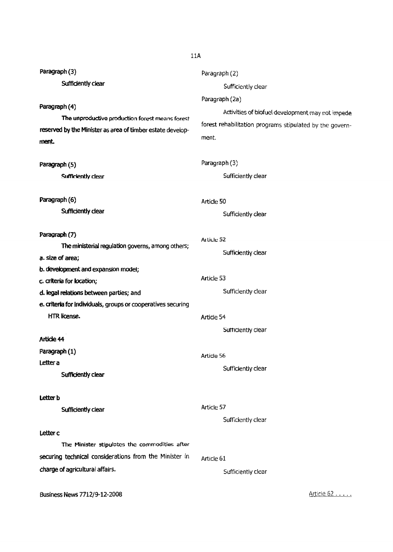| Paragraph (3)                                                | Paragraph (2)                                            |
|--------------------------------------------------------------|----------------------------------------------------------|
| Sufficiently clear                                           | Sufficiently clear                                       |
|                                                              | Paragraph (2a)                                           |
| Paragraph (4)                                                | Activities of biofuel development may not impede         |
| The unproductive production forest means forest              | forest rehabilitation programs stipulated by the govern- |
| reserved by the Minister as area of timber estate develop-   | ment.                                                    |
| ment.                                                        |                                                          |
| Paragraph (5)                                                | Paragraph (3)                                            |
| Sufficiently clear                                           | Sufficiently clear                                       |
| Paragraph (6)                                                | Article 50                                               |
| Sufficiently clear                                           | Sufficiently clear                                       |
| Paragraph (7)                                                | Article 52                                               |
| The ministerial regulation governs, among others;            | Sufficiently clear                                       |
| a. size of area;                                             |                                                          |
| b. development and expansion model;                          |                                                          |
| c. criteria for location;                                    | Article 53                                               |
| d. legal relations between parties; and                      | Sufficiently clear                                       |
| e. criteria for individuals, groups or cooperatives securing |                                                          |
| HTR license.                                                 | Article 54                                               |
|                                                              | Sufficiently clear                                       |
| Article 44                                                   |                                                          |
| Paragraph (1)                                                | Article 56                                               |
| Letter a                                                     | Sufficiently clear                                       |
| Sufficiently clear                                           |                                                          |
| Letter b                                                     |                                                          |
| Sufficiently clear                                           | Article 57                                               |
|                                                              | Sufficiently clear                                       |
| Letter c                                                     |                                                          |
| The Minister stipulates the commodities after                |                                                          |
| securing technical considerations from the Minister in       | Article 61                                               |
| charge of agricultural affairs.                              | Sufficiently clear                                       |
| Business News 7712/9-12-2008                                 | Article 62                                               |

# llA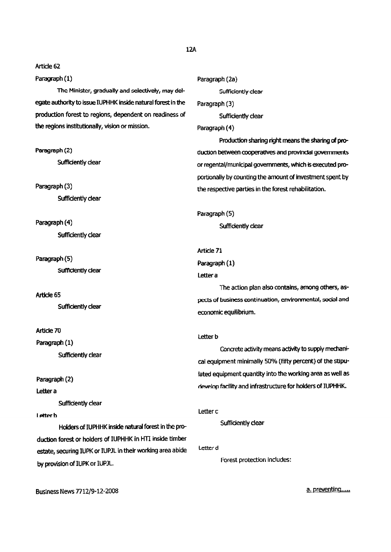#### Paragraph(1)

The Minister, gradually and selectively, may delegate authority to issue IUPHHK inside natural forest in the production forest to regions, dependent on readiness of the regions institutionally, vision or mission.

Paragraph (2) Sufficiently clear

Paragraph(3) Sufficiently clear

Paragraph (4) Sufficiently clear

Paragraph(5) Sum Clear

Article 65 Sufficiently clear

Article 70

Paragraph (1) Sufficiently dear

Paragraph (2)

Letter<sub>a</sub>

Sufficiently clear

I etter b

Holders of IUPHHK inside natural forest in the production forest or holders of IUPHHK in HTI inside timber estate, securing IUPK or IUPJL in their working area abide by provision of IUPK or IUPJL.

```
12A
```
Paragraph (2a) Sufficiently dear Paragraph (3) Sufficiently clear Paragraph (4) Production sharing right means the sharing of production between cooperatives and provincial governments or regental/municipal governments, which is executed proportionally by counting the amount of investment spent by the respective parties in the forest rehabilitation. Paragraph (5) Sufficiently clear Article 71 Paragraph (1) Lettera The action plan also contains, among others, aspects of business continuation, environmental, social and economic equilibrium. **Letter b** Concrete activity means activity to supply mechanical equipment minimally 50% (fifty percent) of the stipulated equipment quantity into the working area as well as develop facility and infrastructure for holders of IUPHHK.

```
Letterc
```
Sufficiently clear

```
Letter d
```
Forest protection includes:

Business News 7712/9-12-2008

a. preventing.....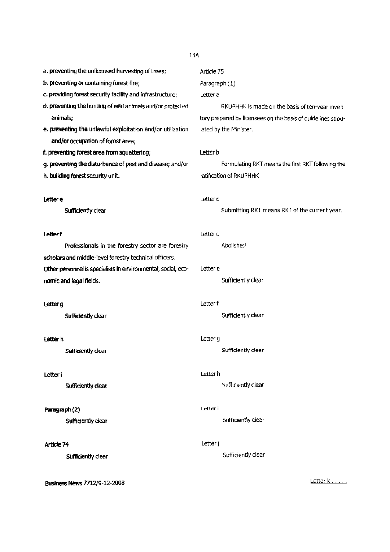13A

a. preventing the unlicensed harvesting of trees;

- b. preventing or containing forest fire;
- c. providing forest security facility and infrastructure;
- d. preventing the hunting of wild animals and/or protected animals:
- e. preventing the unlawful exploitation and/or utilization and/or occupation of forest area;
- f. preventing forest area from squattering;
- g. preventing the disturbance of pestand disease; and/or
- h. building forest security unit.

#### Lettere

Sufficiently clear

#### Letter f

Professionals in the forestry sector are forestry scholars and middle-level forestry technical officers. Other personnel is specialists in environmental, social, economic and legal fields.

#### Letter<sub>g</sub>

Sufficiently clear

#### Letter h

Sufficiently clear

#### Letteri

Sufficiently clear

#### Paragraph (2)

Sufficiently clear

#### Article 74

Sufficiently clear

Business News 7712/9-12-2008

# Article 75 Paragraph (1) Letter a

RKUPHHK is made on the basis of ten-year inventory prepared by licensees on the basis of guidelines stipulated by the Minister.

#### Letter **b**

Formulating RKT means the first RKT following the ratification of RKUPHHK

#### Letter<sub>c</sub>

Submitting RKT means RKT of the current year.

#### Letterd

Abolished

#### Letter e

Sufficiently clear

#### Letter f

Sufficiently clear

#### Letter g

Sufficiently clear

#### Letter h

Sufficiently clear

#### letter i

Sufficiently clear

#### Letter j

Sufficiently clear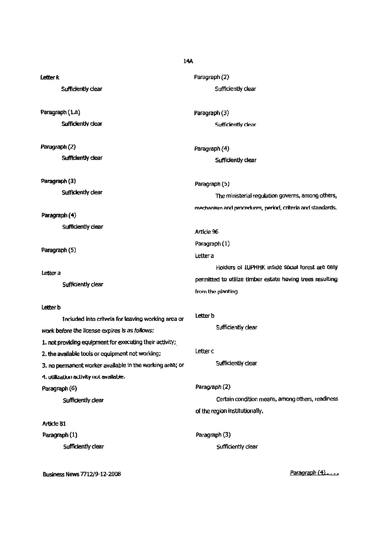| 14A                                                      |                                                                                 |  |
|----------------------------------------------------------|---------------------------------------------------------------------------------|--|
| Letter k                                                 | Paragraph (2)                                                                   |  |
| Sufficiently clear                                       | Sufficiently clear                                                              |  |
| Paragraph (1.a)                                          | Paragraph (3)                                                                   |  |
| Sufficiently clear                                       | Sufficiently clear                                                              |  |
| Paragraph (2)                                            | Paragraph (4)                                                                   |  |
| Sufficiently clear                                       | Sufficiently clear                                                              |  |
| Paragraph (3)                                            | Paragraph (5)                                                                   |  |
| Sufficiently clear                                       | The ministerial regulation governs, among others,                               |  |
| Paragraph (4)                                            | mechanism and procedures, period, criteria and standards.                       |  |
| Sufficiently clear                                       | Article 96                                                                      |  |
| Paragraph (5)                                            | Paragraph (1)                                                                   |  |
|                                                          | Letter a                                                                        |  |
| Letter a<br>Sufficiently clear                           | Holders of IUPHHK inside social forest are only                                 |  |
|                                                          | permitted to utilize timber estate having trees resulting<br>from the planting. |  |
| Letter b                                                 |                                                                                 |  |
| Included into criteria for leaving working area or       | Letter b                                                                        |  |
| work before the license expires is as follows:           | Sufficiently clear                                                              |  |
| 1. not providing equipment for executing their activity; |                                                                                 |  |
| 2. the available tools or equipment not working;         | Letter c                                                                        |  |
| 3. no permanent worker available in the working area; or | Sufficiently clear                                                              |  |
| 4. utilization activity not available.                   |                                                                                 |  |
| Paragraph (6)                                            | Paragraph (2)                                                                   |  |
| Sufficiently clear                                       | Certain condition means, among others, readiness                                |  |
|                                                          | of the region institutionally.                                                  |  |
| Article 81                                               |                                                                                 |  |
| Paragraph (1)                                            | Paragraph (3)                                                                   |  |
| Sufficiently clear                                       | Sufficiently clear                                                              |  |

**Business News 7712/9-12-2008** 

Paragraph (4)....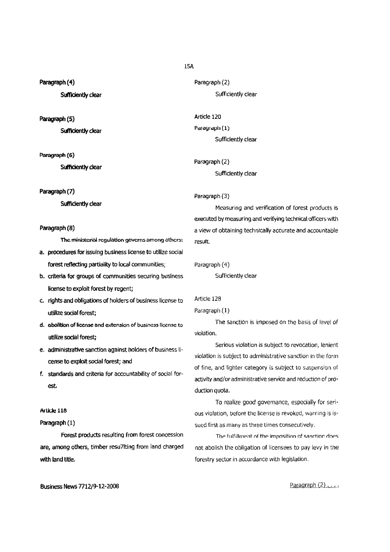#### Paragraph (4)

Sufficiently clear

#### Paragraph (5)

Sufficiently clear

#### Paragraph (6)

Sufficiently clear

#### Paragraph(7)

Sufficiently clear

### Paragraph(8)

The ministerial regulation governs among others:

- a. procedures for issuing business license to utilize social forest reflecting partiality to local communities;
- b. criteria for groups of communities securing business license to exploit forest by regent;
- c. rights and obligations of holders of business license to utilize social forest;
- d. abolition of license and extension of business license to utilize social forest;
- e. administrative sanction against holders of business license to exploit sodal forest; and
- f. standardsand criteria for accountability of social forest.

#### Article 118

### Paragraph (1)

Forest products resulting from forest concession are, among others, timber resu71ting from land charged with land title.

Paragraph (2) Sufficiently clear

Article 120 Paragraph (1) Sufficiently clear

Paragraph (2) Sufficiently clear

Paragraph {3}

Measuring and verification of forest products is executed by measuring and verifying technical officers with a view of obtaining technically accurateand accountable result.

Paragraph (4)

Sufficiently clear

# Article 128

#### Paragraph (1)

The sanction is imposed on the basis of level of violation.

Serious violation is subject to revocation, lenient violation is subject to administrative sanction in the form of fine, and lighter category is subject to suspension of activity and/or administrative service and reduction of production quota.

To realize good governance, especially for serious violation, before the license is revoked, warning is issued first as many as three times consecutively.

The fulfillment of the imposition of sanction does not abolish the obligation of licensees to pay levy in the forestry sector in accordance with legislation.

Business News7712/9-12~2008

Paragraph  $(2)$  .  $\dots$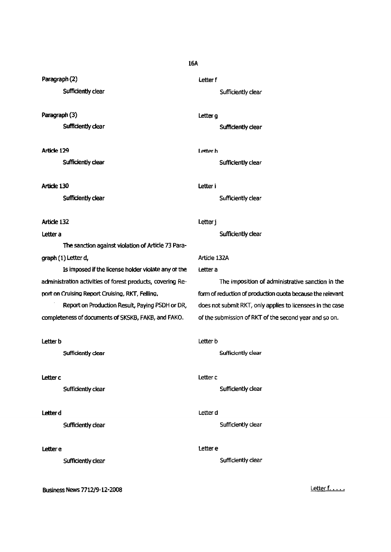Paragraph (2)

Sufficiently clear

Paragraph (3)

Sufficiently dear

Article 129

Sufficiently dear

Article 130

Sufficiently clear

# Article 132

#### Letter a

The sanction against violation of Article 73 Paragraph (1) Letter d, Article 132A

Is imposed if the license holder violate any of the Letter a administration activities of forest products, covering Re- The imposition of administrative sanction in the

completeness of documents of SKSKB, FAKB, and FAKO. of the submission of RKT of the second year and so on.

#### **Letter b** Letter b

## **Letter c** Letter c

# **Letter determine the controller of the controller of the controller of the controller of the controller of the controller of the controller of the controller of the controller of the controller of the controller of the co**

Business News 7712/9-12-2008 **Letter f....** 

# 16A

letterf Sufficiently clear

Letter g

Sufficiently clear

Letter h Sufficiently clear

letter i

Sufficiently clear

# letterj

Sufficiently clear

port on Cruising Report Cruising, RKT. Felling. **Form of reduction of production quota because the relevant** Report on Production Result, Paying PSDH or DR, does not submit RKT, only applies to licensees in the case

Sufficiently dear **Sufficiently dear** Sufficiently dear

Sufficiently clear Sufficiently clear Sufficiently clear

Sufficiently dear Sufficiently dear Sufficiently dear

# Lettere lettere lettere lettere lettere lettere lettere lettere lettere lettere lettere lettere lettere letter

Sufficiently clear and the state of the Sufficiently clear surface surface surface of the Sufficiently clear